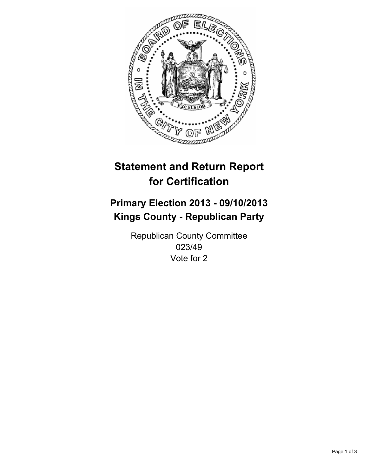

# **Statement and Return Report for Certification**

# **Primary Election 2013 - 09/10/2013 Kings County - Republican Party**

Republican County Committee 023/49 Vote for 2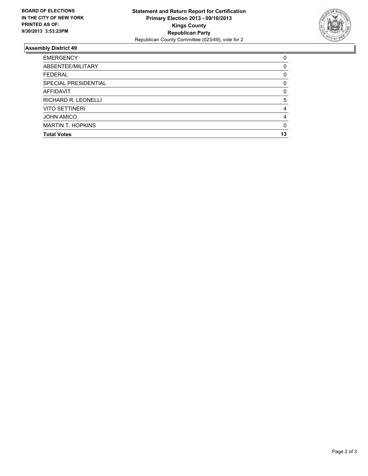

## **Assembly District 49**

| <b>EMERGENCY</b>         | 0            |
|--------------------------|--------------|
| ABSENTEE/MILITARY        | 0            |
| <b>FEDERAL</b>           | 0            |
| SPECIAL PRESIDENTIAL     | 0            |
| <b>AFFIDAVIT</b>         | $\Omega$     |
| RICHARD R. LEONELLI      | 5            |
| <b>VITO SETTINERI</b>    | 4            |
| <b>JOHN AMICO</b>        | 4            |
| <b>MARTIN T. HOPKINS</b> | <sup>0</sup> |
| <b>Total Votes</b>       | 13           |